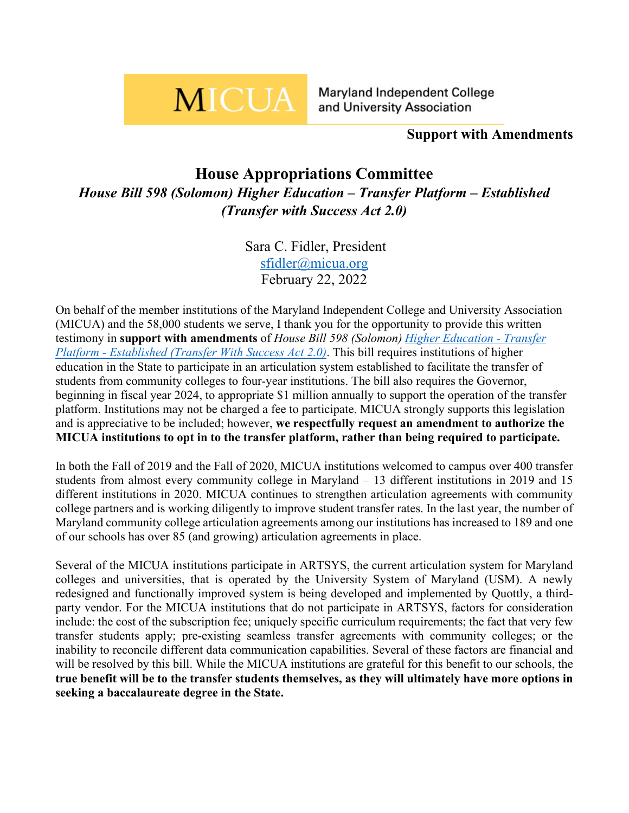# **MICUA**

Maryland Independent College and University Association

# **Support with Amendments**

# **House Appropriations Committee** *House Bill 598 (Solomon) Higher Education – Transfer Platform – Established (Transfer with Success Act 2.0)*

Sara C. Fidler, President [sfidler@micua.org](mailto:sfidler@micua.org) February 22, 2022

On behalf of the member institutions of the Maryland Independent College and University Association (MICUA) and the 58,000 students we serve, I thank you for the opportunity to provide this written testimony in **support with amendments** of *House Bill 598 (Solomon) [Higher Education -](https://mgaleg.maryland.gov/mgawebsite/Legislation/Details/HB0598?ys=2022RS) Transfer Platform - [Established \(Transfer With Success Act 2.0\)](https://mgaleg.maryland.gov/mgawebsite/Legislation/Details/HB0598?ys=2022RS)*. This bill requires institutions of higher education in the State to participate in an articulation system established to facilitate the transfer of students from community colleges to four-year institutions. The bill also requires the Governor, beginning in fiscal year 2024, to appropriate \$1 million annually to support the operation of the transfer platform. Institutions may not be charged a fee to participate. MICUA strongly supports this legislation and is appreciative to be included; however, **we respectfully request an amendment to authorize the MICUA institutions to opt in to the transfer platform, rather than being required to participate.**

In both the Fall of 2019 and the Fall of 2020, MICUA institutions welcomed to campus over 400 transfer students from almost every community college in Maryland – 13 different institutions in 2019 and 15 different institutions in 2020. MICUA continues to strengthen articulation agreements with community college partners and is working diligently to improve student transfer rates. In the last year, the number of Maryland community college articulation agreements among our institutions has increased to 189 and one of our schools has over 85 (and growing) articulation agreements in place.

Several of the MICUA institutions participate in ARTSYS, the current articulation system for Maryland colleges and universities, that is operated by the University System of Maryland (USM). A newly redesigned and functionally improved system is being developed and implemented by Quottly, a thirdparty vendor. For the MICUA institutions that do not participate in ARTSYS, factors for consideration include: the cost of the subscription fee; uniquely specific curriculum requirements; the fact that very few transfer students apply; pre-existing seamless transfer agreements with community colleges; or the inability to reconcile different data communication capabilities. Several of these factors are financial and will be resolved by this bill. While the MICUA institutions are grateful for this benefit to our schools, the **true benefit will be to the transfer students themselves, as they will ultimately have more options in seeking a baccalaureate degree in the State.**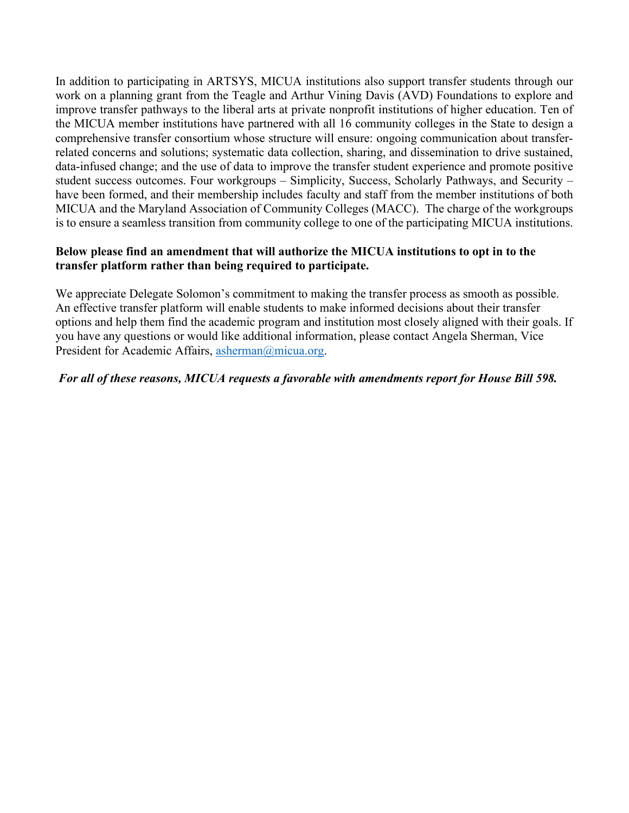In addition to participating in ARTSYS, MICUA institutions also support transfer students through our work on a planning grant from the Teagle and Arthur Vining Davis (AVD) Foundations to explore and improve transfer pathways to the liberal arts at private nonprofit institutions of higher education. Ten of the MICUA member institutions have partnered with all 16 community colleges in the State to design a comprehensive transfer consortium whose structure will ensure: ongoing communication about transferrelated concerns and solutions; systematic data collection, sharing, and dissemination to drive sustained, data-infused change; and the use of data to improve the transfer student experience and promote positive student success outcomes. Four workgroups – Simplicity, Success, Scholarly Pathways, and Security – have been formed, and their membership includes faculty and staff from the member institutions of both MICUA and the Maryland Association of Community Colleges (MACC). The charge of the workgroups is to ensure a seamless transition from community college to one of the participating MICUA institutions.

#### **Below please find an amendment that will authorize the MICUA institutions to opt in to the transfer platform rather than being required to participate.**

We appreciate Delegate Solomon's commitment to making the transfer process as smooth as possible. An effective transfer platform will enable students to make informed decisions about their transfer options and help them find the academic program and institution most closely aligned with their goals. If you have any questions or would like additional information, please contact Angela Sherman, Vice President for Academic Affairs, [asherman@micua.org.](mailto:asherman@micua.org)

#### *For all of these reasons, MICUA requests a favorable with amendments report for House Bill 598.*